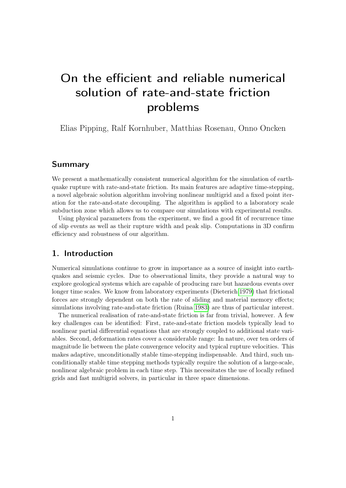# On the efficient and reliable numerical solution of rate-and-state friction problems

Elias Pipping, Ralf Kornhuber, Matthias Rosenau, Onno Oncken

# Summary

We present a mathematically consistent numerical algorithm for the simulation of earthquake rupture with rate-and-state friction. Its main features are adaptive time-stepping, a novel algebraic solution algorithm involving nonlinear multigrid and a fixed point iteration for the rate-and-state decoupling. The algorithm is applied to a laboratory scale subduction zone which allows us to compare our simulations with experimental results.

Using physical parameters from the experiment, we find a good fit of recurrence time of slip events as well as their rupture width and peak slip. Computations in 3D confirm efficiency and robustness of our algorithm.

## 1. Introduction

Numerical simulations continue to grow in importance as a source of insight into earthquakes and seismic cycles. Due to observational limits, they provide a natural way to explore geological systems which are capable of producing rare but hazardous events over longer time scales. We know from laboratory experiments (Dieterich [1979\)](#page-15-0) that frictional forces are strongly dependent on both the rate of sliding and material memory effects; simulations involving rate-and-state friction (Ruina [1983\)](#page-17-0) are thus of particular interest.

The numerical realisation of rate-and-state friction is far from trivial, however. A few key challenges can be identified: First, rate-and-state friction models typically lead to nonlinear partial differential equations that are strongly coupled to additional state variables. Second, deformation rates cover a considerable range: In nature, over ten orders of magnitude lie between the plate convergence velocity and typical rupture velocities. This makes adaptive, unconditionally stable time-stepping indispensable. And third, such unconditionally stable time stepping methods typically require the solution of a large-scale, nonlinear algebraic problem in each time step. This necessitates the use of locally refined grids and fast multigrid solvers, in particular in three space dimensions.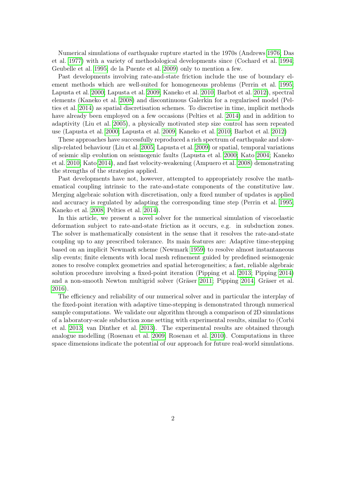Numerical simulations of earthquake rupture started in the 1970s (Andrews [1976;](#page-13-0) Das et al. [1977\)](#page-15-1) with a variety of methodological developments since (Cochard et al. [1994;](#page-13-1) Geubelle et al. [1995;](#page-15-2) de la Puente et al. [2009\)](#page-16-0) only to mention a few.

Past developments involving rate-and-state friction include the use of boundary element methods which are well-suited for homogeneous problems (Perrin et al. [1995;](#page-16-1) Lapusta et al. [2000;](#page-16-2) Lapusta et al. [2009;](#page-16-3) Kaneko et al. [2010;](#page-15-3) Barbot et al. [2012\)](#page-13-2), spectral elements (Kaneko et al. [2008\)](#page-15-4) and discontinuous Galerkin for a regularised model (Pelties et al. [2014\)](#page-16-4) as spatial discretisation schemes. To discretise in time, implicit methods have already been employed on a few occasions (Pelties et al. [2014\)](#page-16-4) and in addition to adaptivity (Liu et al. [2005\)](#page-16-5), a physically motivated step size control has seen repeated use (Lapusta et al. [2000;](#page-16-2) Lapusta et al. [2009;](#page-16-3) Kaneko et al. [2010;](#page-15-3) Barbot et al. [2012\)](#page-13-2)

These approaches have successfully reproduced a rich spectrum of earthquake and slowslip-related behaviour (Liu et al. [2005;](#page-16-5) Lapusta et al. [2009\)](#page-16-3) or spatial, temporal variations of seismic slip evolution on seismogenic faults (Lapusta et al. [2000;](#page-16-2) Kato [2004;](#page-15-5) Kaneko et al. [2010;](#page-15-3) Kato [2014\)](#page-15-6), and fast velocity-weakening (Ampuero et al. [2008\)](#page-13-3) demonstrating the strengths of the strategies applied.

Past developments have not, however, attempted to appropriately resolve the mathematical coupling intrinsic to the rate-and-state components of the constitutive law. Merging algebraic solution with discretisation, only a fixed number of updates is applied and accuracy is regulated by adapting the corresponding time step (Perrin et al. [1995;](#page-16-1) Kaneko et al. [2008;](#page-15-4) Pelties et al. [2014\)](#page-16-4).

In this article, we present a novel solver for the numerical simulation of viscoelastic deformation subject to rate-and-state friction as it occurs, e.g. in subduction zones. The solver is mathematically consistent in the sense that it resolves the rate-and-state coupling up to any prescribed tolerance. Its main features are: Adaptive time-stepping based on an implicit Newmark scheme (Newmark [1959\)](#page-16-6) to resolve almost instantaneous slip events; finite elements with local mesh refinement guided by predefined seismogenic zones to resolve complex geometries and spatial heterogeneities; a fast, reliable algebraic solution procedure involving a fixed-point iteration (Pipping et al. [2013;](#page-16-7) Pipping [2014\)](#page-16-8) and a non-smooth Newton multigrid solver (Gräser [2011;](#page-15-7) Pipping [2014;](#page-16-8) Gräser et al. [2016\)](#page-15-8).

The efficiency and reliability of our numerical solver and in particular the interplay of the fixed-point iteration with adaptive time-stepping is demonstrated through numerical sample computations. We validate our algorithm through a comparison of 2D simulations of a laboratory-scale subduction zone setting with experimental results, similar to (Corbi et al. [2013;](#page-15-9) van Dinther et al. [2013\)](#page-15-10). The experimental results are obtained through analogue modelling (Rosenau et al. [2009;](#page-16-9) Rosenau et al. [2010\)](#page-16-10). Computations in three space dimensions indicate the potential of our approach for future real-world simulations.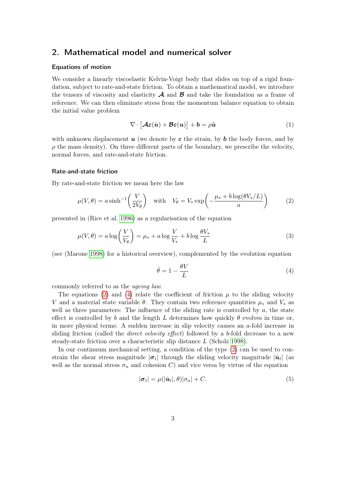# 2. Mathematical model and numerical solver

#### Equations of motion

We consider a linearly viscoelastic Kelvin-Voigt body that slides on top of a rigid foundation, subject to rate-and-state friction. To obtain a mathematical model, we introduce the tensors of viscosity and elasticity  $\mathcal A$  and  $\mathcal B$  and take the foundation as a frame of reference. We can then eliminate stress from the momentum balance equation to obtain the initial value problem

<span id="page-2-3"></span>
$$
\nabla \cdot \left[ \mathcal{A} \varepsilon(\dot{u}) + \mathcal{B} \varepsilon(u) \right] + b = \rho \ddot{u} \tag{1}
$$

with unknown displacement u (we denote by  $\varepsilon$  the strain, by b the body forces, and by  $\rho$  the mass density). On three different parts of the boundary, we prescribe the velocity, normal forces, and rate-and-state friction.

#### Rate-and-state friction

By rate-and-state friction we mean here the law

$$
\mu(V,\theta) = a \sinh^{-1}\left(\frac{V}{2V_{\theta}}\right) \quad \text{with} \quad V_{\theta} = V_{*} \exp\left(-\frac{\mu_{*} + b \log(\theta V_{*}/L)}{a}\right) \tag{2}
$$

presented in (Rice et al. [1996\)](#page-16-11) as a regularisation of the equation

$$
\mu(V,\theta) = a \log \left(\frac{V}{V_{\theta}}\right) = \mu_* + a \log \frac{V}{V_*} + b \log \frac{\theta V_*}{L}
$$
\n(3)

(see (Marone [1998\)](#page-16-12) for a historical overview), complemented by the evolution equation

<span id="page-2-1"></span><span id="page-2-0"></span>
$$
\dot{\theta} = 1 - \frac{\theta V}{L} \tag{4}
$$

commonly referred to as the ageing law.

The equations [\(2\)](#page-2-0) and [\(4\)](#page-2-1) relate the coefficient of friction  $\mu$  to the sliding velocity V and a material state variable  $\theta$ . They contain two reference quantities  $\mu_*$  and  $V_*$  as well as three parameters: The influence of the sliding rate is controlled by  $a$ , the state effect is controlled by b and the length L determines how quickly  $\theta$  evolves in time or, in more physical terms: A sudden increase in slip velocity causes an a-fold increase in sliding friction (called the *direct velocity effect*) followed by a b-fold decrease to a new steady-state friction over a characteristic slip distance L (Scholz [1998\)](#page-17-1).

In our continuum mechanical setting, a condition of the type [\(2\)](#page-2-0) can be used to constrain the shear stress magnitude  $|\sigma_t|$  through the sliding velocity magnitude  $|\dot{u}_t|$  (as well as the normal stress  $\sigma_n$  and cohesion C) and vice versa by virtue of the equation

<span id="page-2-2"></span>
$$
|\boldsymbol{\sigma}_t| = \mu(|\dot{\boldsymbol{u}}_t|, \theta)|\sigma_n| + C. \tag{5}
$$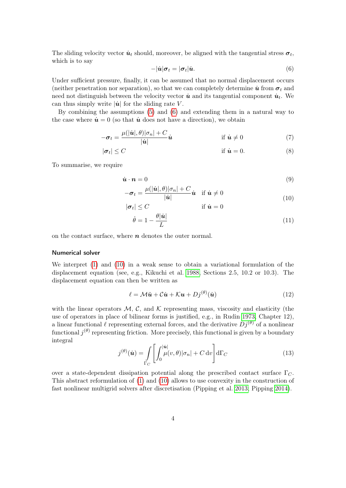<span id="page-3-0"></span>The sliding velocity vector  $\dot{u}_t$  should, moreover, be aligned with the tangential stress  $\sigma_t$ , which is to say

$$
-|\dot{\boldsymbol{u}}|\boldsymbol{\sigma}_t = |\boldsymbol{\sigma}_t|\dot{\boldsymbol{u}}.\tag{6}
$$

Under sufficient pressure, finally, it can be assumed that no normal displacement occurs (neither penetration nor separation), so that we can completely determine  $\dot{u}$  from  $\sigma_t$  and need not distinguish between the velocity vector  $\dot{u}$  and its tangential component  $\dot{u}_t$ . We can thus simply write  $|\dot{u}|$  for the sliding rate V.

By combining the assumptions [\(5\)](#page-2-2) and [\(6\)](#page-3-0) and extending them in a natural way to the case where  $\dot{u} = 0$  (so that  $\dot{u}$  does not have a direction), we obtain

$$
-\boldsymbol{\sigma}_t = \frac{\mu(|\dot{\boldsymbol{u}}|,\theta)|\sigma_n| + C}{|\dot{\boldsymbol{u}}|}\dot{\boldsymbol{u}} \qquad \qquad \text{if } \dot{\boldsymbol{u}} \neq 0 \tag{7}
$$

$$
|\sigma_t| \le C \qquad \qquad \text{if } \dot{u} = 0. \tag{8}
$$

To summarise, we require

$$
\dot{\boldsymbol{u}} \cdot \boldsymbol{n} = 0 \tag{9}
$$

$$
-\boldsymbol{\sigma}_t = \frac{\mu(|\dot{\boldsymbol{u}}|, \theta)|\sigma_n| + C}{|\dot{\boldsymbol{u}}|} \dot{\boldsymbol{u}} \quad \text{if } \dot{\boldsymbol{u}} \neq 0 \tag{10}
$$

<span id="page-3-3"></span><span id="page-3-1"></span>
$$
|\boldsymbol{\sigma}_t| \le C \qquad \text{if } \dot{\boldsymbol{u}} = 0
$$

$$
\dot{\theta} = 1 - \frac{\theta |\dot{\boldsymbol{u}}|}{L} \qquad (11)
$$

on the contact surface, where  $n$  denotes the outer normal.

## Numerical solver

We interpret [\(1\)](#page-2-3) and [\(10\)](#page-3-1) in a weak sense to obtain a variational formulation of the displacement equation (see, e.g., Kikuchi et al. [1988,](#page-16-13) Sections 2.5, 10.2 or 10.3). The displacement equation can then be written as

<span id="page-3-2"></span>
$$
\ell = \mathcal{M}\ddot{\mathbf{u}} + \mathcal{C}\dot{\mathbf{u}} + \mathcal{K}\mathbf{u} + Dj^{(\theta)}(\dot{\mathbf{u}})
$$
(12)

with the linear operators  $M$ , C, and K representing mass, viscosity and elasticity (the use of operators in place of bilinear forms is justified, e.g., in Rudin [1973,](#page-17-2) Chapter 12), a linear functional  $\ell$  representing external forces, and the derivative  $Dj^{(\theta)}$  of a nonlinear functional  $j^{(\theta)}$  representing friction. More precisely, this functional is given by a boundary integral

$$
j^{(\theta)}(\dot{\mathbf{u}}) = \int_{\Gamma_C} \left[ \int_0^{|\dot{\mathbf{u}}|} \mu(v,\theta) |\sigma_n| + C \, dv \right] d\Gamma_C \tag{13}
$$

over a state-dependent dissipation potential along the prescribed contact surface  $\Gamma_{\mathcal{C}}$ . This abstract reformulation of [\(1\)](#page-2-3) and [\(10\)](#page-3-1) allows to use convexity in the construction of fast nonlinear multigrid solvers after discretisation (Pipping et al. [2013;](#page-16-7) Pipping [2014\)](#page-16-8).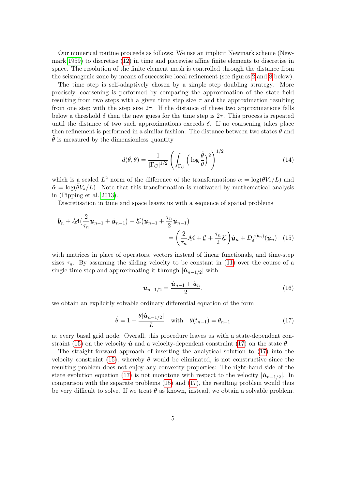Our numerical routine proceeds as follows: We use an implicit Newmark scheme (Newmark [1959\)](#page-16-6) to discretise [\(12\)](#page-3-2) in time and piecewise affine finite elements to discretise in space. The resolution of the finite element mesh is controlled through the distance from the seismogenic zone by means of successive local refinement (see figures [2](#page-6-0) and [8](#page-12-0) below).

The time step is self-adaptively chosen by a simple step doubling strategy. More precisely, coarsening is performed by comparing the approximation of the state field resulting from two steps with a given time step size  $\tau$  and the approximation resulting from one step with the step size  $2\tau$ . If the distance of these two approximations falls below a threshold  $\delta$  then the new guess for the time step is  $2\tau$ . This process is repeated until the distance of two such approximations exceeds  $\delta$ . If no coarsening takes place then refinement is performed in a similar fashion. The distance between two states  $\theta$  and  $\theta$  is measured by the dimensionless quantity

$$
d(\tilde{\theta}, \theta) = \frac{1}{|\Gamma_C|^{1/2}} \left( \int_{\Gamma_C} \left( \log \frac{\tilde{\theta}}{\theta} \right)^2 \right)^{1/2} \tag{14}
$$

which is a scaled  $L^2$  norm of the difference of the transformations  $\alpha = \log(\theta V_*/L)$  and  $\tilde{\alpha} = \log(\tilde{\theta} V_*/L)$ . Note that this transformation is motivated by mathematical analysis in (Pipping et al. [2013\)](#page-16-7).

Discretisation in time and space leaves us with a sequence of spatial problems

$$
\underline{\boldsymbol{b}}_n + \underline{\mathcal{M}} \big( \frac{2}{\tau_n} \dot{\underline{\boldsymbol{u}}}_{n-1} + \ddot{\underline{\boldsymbol{u}}}_{n-1} \big) - \underline{\mathcal{K}} \big( \underline{\boldsymbol{u}}_{n-1} + \frac{\tau_n}{2} \dot{\underline{\boldsymbol{u}}}_{n-1} \big) \n= \bigg( \frac{2}{\tau_n} \underline{\mathcal{M}} + \underline{\mathcal{C}} + \frac{\tau_n}{2} \underline{\mathcal{K}} \bigg) \dot{\underline{\boldsymbol{u}}}_n + D_{\underline{\boldsymbol{j}}}^{(\theta_n)} (\dot{\underline{\boldsymbol{u}}}_n) \tag{15}
$$

with matrices in place of operators, vectors instead of linear functionals, and time-step sizes  $\tau_n$ . By assuming the sliding velocity to be constant in [\(11\)](#page-3-3) over the course of a single time step and approximating it through  $|\dot{\mathbf{u}}_{n-1/2}|$  with

<span id="page-4-2"></span><span id="page-4-1"></span><span id="page-4-0"></span>
$$
\dot{\mathbf{u}}_{n-1/2} = \frac{\dot{\mathbf{u}}_{n-1} + \dot{\mathbf{u}}_n}{2},\tag{16}
$$

we obtain an explicitly solvable ordinary differential equation of the form

$$
\dot{\theta} = 1 - \frac{\theta |\dot{u}_{n-1/2}|}{L} \quad \text{with} \quad \theta(t_{n-1}) = \theta_{n-1} \tag{17}
$$

at every basal grid node. Overall, this procedure leaves us with a state-dependent con-straint [\(15\)](#page-4-0) on the velocity  $\dot{u}$  and a velocity-dependent constraint [\(17\)](#page-4-1) on the state  $\theta$ .

The straight-forward approach of inserting the analytical solution to [\(17\)](#page-4-1) into the velocity constraint [\(15\)](#page-4-0), whereby  $\theta$  would be eliminated, is not constructive since the resulting problem does not enjoy any convexity properties: The right-hand side of the state evolution equation [\(17\)](#page-4-1) is not monotone with respect to the velocity  $|\dot{\mathbf{u}}_{n-1/2}|$ . In comparison with the separate problems [\(15\)](#page-4-0) and [\(17\)](#page-4-1), the resulting problem would thus be very difficult to solve. If we treat  $\theta$  as known, instead, we obtain a solvable problem.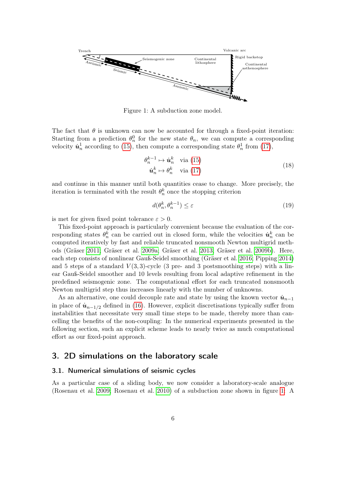<span id="page-5-0"></span>

Figure 1: A subduction zone model.

The fact that  $\theta$  is unknown can now be accounted for through a fixed-point iteration: Starting from a prediction  $\theta_n^0$  for the new state  $\theta_n$ , we can compute a corresponding velocity  $\dot{u}_n^1$  according to [\(15\)](#page-4-0), then compute a corresponding state  $\theta_n^1$  from [\(17\)](#page-4-1),

<span id="page-5-1"></span>
$$
\theta_n^{k-1} \mapsto \dot{\boldsymbol{u}}_n^k \quad \text{via (15)}
$$
\n
$$
\dot{\boldsymbol{u}}_n^k \mapsto \theta_n^k \quad \text{via (17)}
$$
\n(18)

and continue in this manner until both quantities cease to change. More precisely, the iteration is terminated with the result  $\theta_n^k$  once the stopping criterion

$$
d(\theta_n^k, \theta_n^{k-1}) \le \varepsilon \tag{19}
$$

is met for given fixed point tolerance  $\varepsilon > 0$ .

This fixed-point approach is particularly convenient because the evaluation of the corresponding states  $\theta_n^k$  can be carried out in closed form, while the velocities  $\dot{u}_n^k$  can be computed iteratively by fast and reliable truncated nonsmooth Newton multigrid methods (Gräser [2011;](#page-15-7) Gräser et al. [2009a;](#page-15-11) Gräser et al. [2013;](#page-15-12) Gräser et al. [2009b\)](#page-15-13). Here, each step consists of nonlinear Gauß-Seidel smoothing (Gräser et al. [2016;](#page-15-8) Pipping [2014\)](#page-16-8) and 5 steps of a standard  $V(3,3)$ -cycle (3 pre- and 3 postsmoothing steps) with a linear Gauß-Seidel smoother and 10 levels resulting from local adaptive refinement in the predefined seismogenic zone. The computational effort for each truncated nonsmooth Newton multigrid step thus increases linearly with the number of unknowns.

As an alternative, one could decouple rate and state by using the known vector  $\dot{u}_{n-1}$ in place of  $\dot{\mathbf{u}}_{n-1/2}$  defined in [\(16\)](#page-4-2). However, explicit discretisations typically suffer from instabilities that necessitate very small time steps to be made, thereby more than cancelling the benefits of the non-coupling: In the numerical experiments presented in the following section, such an explicit scheme leads to nearly twice as much computational effort as our fixed-point approach.

## 3. 2D simulations on the laboratory scale

### 3.1. Numerical simulations of seismic cycles

As a particular case of a sliding body, we now consider a laboratory-scale analogue (Rosenau et al. [2009;](#page-16-9) Rosenau et al. [2010\)](#page-16-10) of a subduction zone shown in figure [1:](#page-5-0) A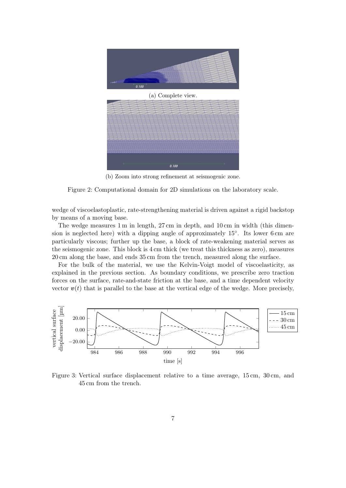<span id="page-6-0"></span>



(b) Zoom into strong refinement at seismogenic zone.

Figure 2: Computational domain for 2D simulations on the laboratory scale.

wedge of viscoelastoplastic, rate-strengthening material is driven against a rigid backstop by means of a moving base.

The wedge measures 1 m in length, 27 cm in depth, and 10 cm in width (this dimension is neglected here) with a dipping angle of approximately 15<sup>°</sup>. Its lower 6 cm are particularly viscous; further up the base, a block of rate-weakening material serves as the seismogenic zone. This block is 4 cm thick (we treat this thickness as zero), measures 20 cm along the base, and ends 35 cm from the trench, measured along the surface.

For the bulk of the material, we use the Kelvin-Voigt model of viscoelasticity, as explained in the previous section. As boundary conditions, we prescribe zero traction forces on the surface, rate-and-state friction at the base, and a time dependent velocity vector  $v(t)$  that is parallel to the base at the vertical edge of the wedge. More precisely,

<span id="page-6-1"></span>

Figure 3: Vertical surface displacement relative to a time average, 15 cm, 30 cm, and 45 cm from the trench.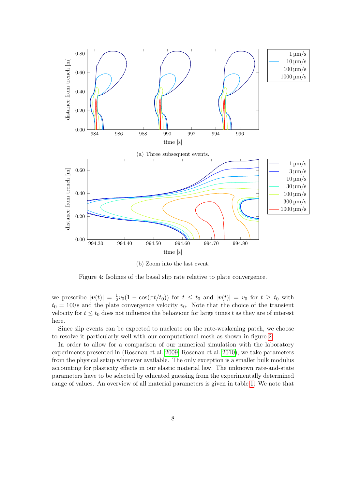<span id="page-7-0"></span>

(b) Zoom into the last event.

Figure 4: Isolines of the basal slip rate relative to plate convergence.

we prescribe  $|\boldsymbol{v}(t)| = \frac{1}{2}$  $\frac{1}{2}v_0(1-\cos(\pi t/t_0))$  for  $t \leq t_0$  and  $|\boldsymbol{v}(t)| = v_0$  for  $t \geq t_0$  with  $t_0 = 100$  s and the plate convergence velocity  $v_0$ . Note that the choice of the transient velocity for  $t \leq t_0$  does not influence the behaviour for large times t as they are of interest here.

Since slip events can be expected to nucleate on the rate-weakening patch, we choose to resolve it particularly well with our computational mesh as shown in figure [2.](#page-6-0)

In order to allow for a comparison of our numerical simulation with the laboratory experiments presented in (Rosenau et al. [2009;](#page-16-9) Rosenau et al. [2010\)](#page-16-10), we take parameters from the physical setup whenever available. The only exception is a smaller bulk modulus accounting for plasticity effects in our elastic material law. The unknown rate-and-state parameters have to be selected by educated guessing from the experimentally determined range of values. An overview of all material parameters is given in table [1.](#page-14-0) We note that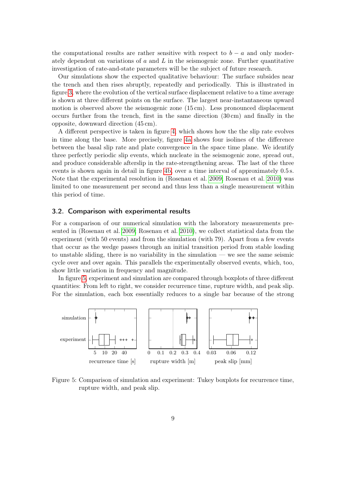the computational results are rather sensitive with respect to  $b - a$  and only moderately dependent on variations of a and  $L$  in the seismogenic zone. Further quantitative investigation of rate-and-state parameters will be the subject of future research.

Our simulations show the expected qualitative behaviour: The surface subsides near the trench and then rises abruptly, repeatedly and periodically. This is illustrated in figure [3,](#page-6-1) where the evolution of the vertical surface displacement relative to a time average is shown at three different points on the surface. The largest near-instantaneous upward motion is observed above the seismogenic zone (15 cm). Less pronounced displacement occurs further from the trench, first in the same direction  $(30 \text{ cm})$  and finally in the opposite, downward direction (45 cm).

A different perspective is taken in figure [4,](#page-7-0) which shows how the the slip rate evolves in time along the base. More precisely, figure [4a](#page-7-0) shows four isolines of the difference between the basal slip rate and plate convergence in the space time plane. We identify three perfectly periodic slip events, which nucleate in the seismogenic zone, spread out, and produce considerable afterslip in the rate-strengthening areas. The last of the three events is shown again in detail in figure [4b,](#page-7-0) over a time interval of approximately 0.5 s. Note that the experimental resolution in (Rosenau et al. [2009;](#page-16-9) Rosenau et al. [2010\)](#page-16-10) was limited to one measurement per second and thus less than a single measurement within this period of time.

#### 3.2. Comparison with experimental results

For a comparison of our numerical simulation with the laboratory measurements presented in (Rosenau et al. [2009;](#page-16-9) Rosenau et al. [2010\)](#page-16-10), we collect statistical data from the experiment (with 50 events) and from the simulation (with 79). Apart from a few events that occur as the wedge passes through an initial transition period from stable loading to unstable sliding, there is no variability in the simulation — we see the same seismic cycle over and over again. This parallels the experimentally observed events, which, too, show little variation in frequency and magnitude.

In figure [5,](#page-8-0) experiment and simulation are compared through boxplots of three different quantities: From left to right, we consider recurrence time, rupture width, and peak slip. For the simulation, each box essentially reduces to a single bar because of the strong

<span id="page-8-0"></span>

Figure 5: Comparison of simulation and experiment: Tukey boxplots for recurrence time, rupture width, and peak slip.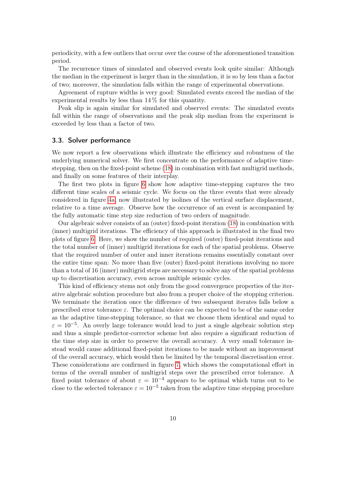periodicity, with a few outliers that occur over the course of the aforementioned transition period.

The recurrence times of simulated and observed events look quite similar: Although the median in the experiment is larger than in the simulation, it is so by less than a factor of two; moreover, the simulation falls within the range of experimental observations.

Agreement of rupture widths is very good: Simulated events exceed the median of the experimental results by less than 14 % for this quantity.

Peak slip is again similar for simulated and observed events: The simulated events fall within the range of observations and the peak slip median from the experiment is exceeded by less than a factor of two.

#### 3.3. Solver performance

We now report a few observations which illustrate the efficiency and robustness of the underlying numerical solver. We first concentrate on the performance of adaptive timestepping, then on the fixed-point scheme [\(18\)](#page-5-1) in combination with fast multigrid methods, and finally on some features of their interplay.

The first two plots in figure [6](#page-10-0) show how adaptive time-stepping captures the two different time scales of a seismic cycle. We focus on the three events that were already considered in figure [4a,](#page-7-0) now illustrated by isolines of the vertical surface displacement, relative to a time average. Observe how the occurrence of an event is accompanied by the fully automatic time step size reduction of two orders of magnitude.

Our algebraic solver consists of an (outer) fixed-point iteration [\(18\)](#page-5-1) in combination with (inner) multigrid iterations. The efficiency of this approach is illustrated in the final two plots of figure [6.](#page-10-0) Here, we show the number of required (outer) fixed-point iterations and the total number of (inner) multigrid iterations for each of the spatial problems. Observe that the required number of outer and inner iterations remains essentially constant over the entire time span: No more than five (outer) fixed-point iterations involving no more than a total of 16 (inner) multigrid steps are necessary to solve any of the spatial problems up to discretisation accuracy, even across multiple seismic cycles.

This kind of efficiency stems not only from the good convergence properties of the iterative algebraic solution procedure but also from a proper choice of the stopping criterion. We terminate the iteration once the difference of two subsequent iterates falls below a prescribed error tolerance  $\varepsilon$ . The optimal choice can be expected to be of the same order as the adaptive time-stepping tolerance, so that we choose them identical and equal to  $\varepsilon = 10^{-5}$ . An overly large tolerance would lead to just a single algebraic solution step and thus a simple predictor-corrector scheme but also require a significant reduction of the time step size in order to preserve the overall accuracy. A very small tolerance instead would cause additional fixed-point iterations to be made without an improvement of the overall accuracy, which would then be limited by the temporal discretisation error. These considerations are confirmed in figure [7,](#page-10-1) which shows the computational effort in terms of the overall number of multigrid steps over the prescribed error tolerance. A fixed point tolerance of about  $\varepsilon = 10^{-4}$  appears to be optimal which turns out to be close to the selected tolerance  $\varepsilon = 10^{-5}$  taken from the adaptive time stepping procedure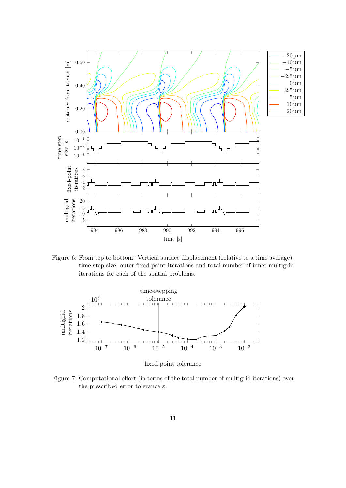<span id="page-10-0"></span>

Figure 6: From top to bottom: Vertical surface displacement (relative to a time average), time step size, outer fixed-point iterations and total number of inner multigrid iterations for each of the spatial problems.

<span id="page-10-1"></span>

fixed point tolerance

Figure 7: Computational effort (in terms of the total number of multigrid iterations) over the prescribed error tolerance  $\varepsilon$ .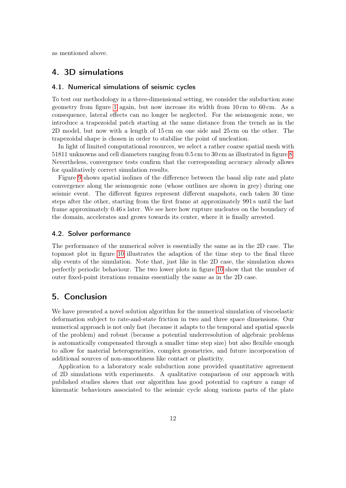as mentioned above.

# 4. 3D simulations

## 4.1. Numerical simulations of seismic cycles

To test our methodology in a three-dimensional setting, we consider the subduction zone geometry from figure [1](#page-5-0) again, but now increase its width from 10 cm to 60 cm. As a consequence, lateral effects can no longer be neglected. For the seismogenic zone, we introduce a trapezoidal patch starting at the same distance from the trench as in the 2D model, but now with a length of 15 cm on one side and 25 cm on the other. The trapezoidal shape is chosen in order to stabilise the point of nucleation.

In light of limited computational resources, we select a rather coarse spatial mesh with 51811 unknowns and cell diameters ranging from 0.5 cm to 30 cm as illustrated in figure [8.](#page-12-0) Nevertheless, convergence tests confirm that the corresponding accuracy already allows for qualitatively correct simulation results.

Figure [9](#page-12-1) shows spatial isolines of the difference between the basal slip rate and plate convergence along the seismogenic zone (whose outlines are shown in grey) during one seismic event. The different figures represent different snapshots, each taken 30 time steps after the other, starting from the first frame at approximately 991 s until the last frame approximately 0.46 s later. We see here how rupture nucleates on the boundary of the domain, accelerates and grows towards its center, where it is finally arrested.

#### 4.2. Solver performance

The performance of the numerical solver is essentially the same as in the 2D case. The topmost plot in figure [10](#page-13-4) illustrates the adaption of the time step to the final three slip events of the simulation. Note that, just like in the 2D case, the simulation shows perfectly periodic behaviour. The two lower plots in figure [10](#page-13-4) show that the number of outer fixed-point iterations remains essentially the same as in the 2D case.

# 5. Conclusion

We have presented a novel solution algorithm for the numerical simulation of viscoelastic deformation subject to rate-and-state friction in two and three space dimensions. Our numerical approach is not only fast (because it adapts to the temporal and spatial spacels of the problem) and robust (because a potential underresolution of algebraic problems is automatically compensated through a smaller time step size) but also flexible enough to allow for material heterogeneities, complex geometries, and future incorporation of additional sources of non-smoothness like contact or plasticity.

Application to a laboratory scale subduction zone provided quantitative agreement of 2D simulations with experiments. A qualitative comparison of our approach with published studies shows that our algorithm has good potential to capture a range of kinematic behaviours associated to the seismic cycle along various parts of the plate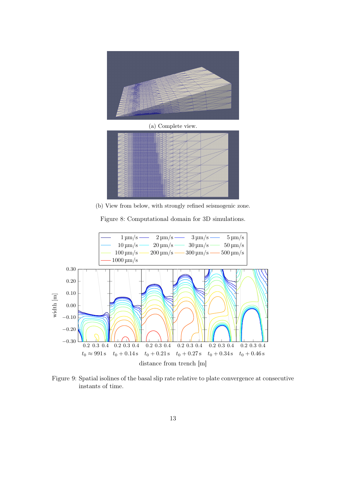<span id="page-12-0"></span>

(a) Complete view.

(b) View from below, with strongly refined seismogenic zone.

Figure 8: Computational domain for 3D simulations.

<span id="page-12-1"></span>

Figure 9: Spatial isolines of the basal slip rate relative to plate convergence at consecutive instants of time.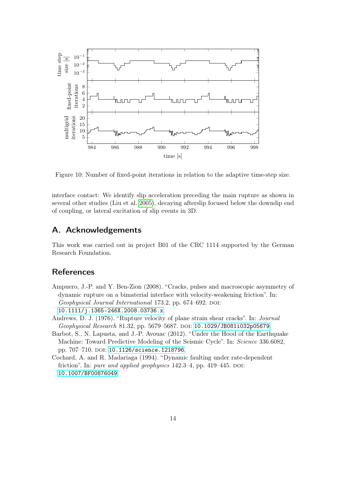<span id="page-13-4"></span>

Figure 10: Number of fixed-point iterations in relation to the adaptive time-step size.

interface contact: We identify slip acceleration preceding the main rupture as shown in several other studies (Liu et al. [2005\)](#page-16-5), decaying afterslip focused below the downdip end of coupling, or lateral excitation of slip events in 3D.

## A. Acknowledgements

This work was carried out in project B01 of the CRC 1114 supported by the German Research Foundation.

# References

- <span id="page-13-3"></span>Ampuero, J.-P. and Y. Ben-Zion (2008). "Cracks, pulses and macroscopic asymmetry of dynamic rupture on a bimaterial interface with velocity-weakening friction". In: Geophysical Journal International 173.2, pp. 674–692. DOI: [10.1111/j.1365-246X.2008.03736.x](https://doi.org/10.1111/j.1365-246X.2008.03736.x).
- <span id="page-13-0"></span>Andrews, D. J. (1976). "Rupture velocity of plane strain shear cracks". In: Journal Geophysical Research 81.32, pp. 5679-5687. DOI: [10.1029/JB081i032p05679](https://doi.org/10.1029/JB081i032p05679).
- <span id="page-13-2"></span>Barbot, S., N. Lapusta, and J.-P. Avouac (2012). "Under the Hood of the Earthquake Machine: Toward Predictive Modeling of the Seismic Cycle". In: Science 336.6082, pp. 707-710. doi: [10.1126/science.1218796](https://doi.org/10.1126/science.1218796).
- <span id="page-13-1"></span>Cochard, A. and R. Madariaga (1994). "Dynamic faulting under rate-dependent friction". In: pure and applied geophysics  $142.3-4$ , pp.  $419-445$ . DOI: [10.1007/BF00876049](https://doi.org/10.1007/BF00876049).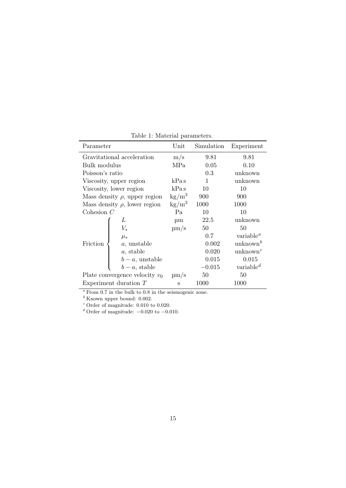<span id="page-14-0"></span>

| Parameter                          |                  | Unit                   | Simulation | Experiment                        |
|------------------------------------|------------------|------------------------|------------|-----------------------------------|
| Gravitational acceleration         |                  | m/s                    | 9.81       | 9.81                              |
| Bulk modulus                       |                  | MPa                    | 0.05       | 0.10                              |
| Poisson's ratio                    |                  |                        | 0.3        | unknown                           |
| Viscosity, upper region            |                  | kPas                   | 1          | unknown                           |
| Viscosity, lower region            |                  | kPas                   | 10         | 10                                |
| Mass density $\rho$ , upper region |                  | $\text{kg}/\text{m}^3$ | 900        | 900                               |
| Mass density $\rho$ , lower region |                  | $\text{kg}/\text{m}^3$ | 1000       | 1000                              |
| Cohesion $C$                       |                  | Pa                     | 10         | 10                                |
| Friction                           | L                | $\mu$ m                | 22.5       | unknown                           |
|                                    | $V_*$            | $\mu$ m/s              | 50         | 50                                |
|                                    | $\mu_*$          |                        | 0.7        | variable <sup><i>a</i></sup>      |
|                                    | $a$ , unstable   |                        | 0.002      | unknown $^b$                      |
|                                    | $a$ , stable     |                        | 0.020      | unknown <sup><math>c</math></sup> |
|                                    | $b-a$ , unstable |                        | 0.015      | 0.015                             |
|                                    | $b-a$ , stable   |                        | $-0.015$   | variable $^d$                     |
| Plate convergence velocity $v_0$   |                  | $\mu$ m/s              | 50         | 50                                |
| Experiment duration $T$            |                  | S                      | 1000       | 1000                              |

Table 1: Material parameters.

 $^a$  From 0.7 in the bulk to 0.8 in the seismogenic zone.

 $<sup>b</sup>$  Known upper bound: 0.002.</sup>

 $c$  Order of magnitude: 0.010 to 0.020.

<sup>d</sup> Order of magnitude:  $-0.020$  to  $-0.010$ .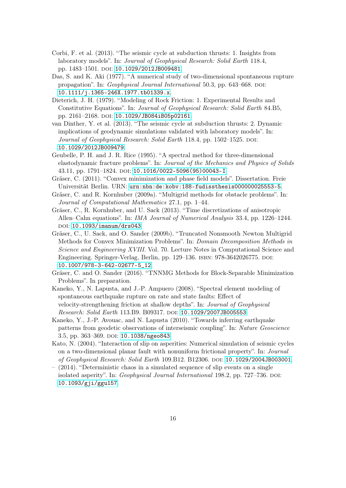- <span id="page-15-9"></span>Corbi, F. et al. (2013). "The seismic cycle at subduction thrusts: 1. Insights from laboratory models". In: Journal of Geophysical Research: Solid Earth 118.4, pp. 1483-1501. doi: [10.1029/2012JB009481](https://doi.org/10.1029/2012JB009481).
- <span id="page-15-1"></span>Das, S. and K. Aki (1977). "A numerical study of two-dimensional spontaneous rupture propagation". In: *Geophysical Journal International* 50.3, pp. 643–668. DOI: [10.1111/j.1365-246X.1977.tb01339.x](https://doi.org/10.1111/j.1365-246X.1977.tb01339.x).
- <span id="page-15-0"></span>Dieterich, J. H. (1979). "Modeling of Rock Friction: 1. Experimental Results and Constitutive Equations". In: Journal of Geophysical Research: Solid Earth 84.B5, pp. 2161-2168. DOI: [10.1029/JB084iB05p02161](https://doi.org/10.1029/JB084iB05p02161).
- <span id="page-15-10"></span>van Dinther, Y. et al. (2013). "The seismic cycle at subduction thrusts: 2. Dynamic implications of geodynamic simulations validated with laboratory models". In: Journal of Geophysical Research: Solid Earth 118.4, pp. 1502–1525. DOI: [10.1029/2012JB009479](https://doi.org/10.1029/2012JB009479).
- <span id="page-15-2"></span>Geubelle, P. H. and J. R. Rice (1995). "A spectral method for three-dimensional elastodynamic fracture problems". In: Journal of the Mechanics and Physics of Solids 43.11, pp. 1791-1824. DOI: [10.1016/0022-5096\(95\)00043-I](https://doi.org/10.1016/0022-5096(95)00043-I).
- <span id="page-15-7"></span>Gräser, C. (2011). "Convex minimization and phase field models". Dissertation. Freie Universität Berlin. URN: [urn:nbn:de:kobv:188-fudissthesis000000025553-5](http://www.nbn-resolving.org/urn:nbn:de:kobv:188-fudissthesis000000025553-5).
- <span id="page-15-11"></span>Gräser, C. and R. Kornhuber (2009a). "Multigrid methods for obstacle problems". In: Journal of Computational Mathematics 27.1, pp. 1–44.
- <span id="page-15-12"></span>Gräser, C., R. Kornhuber, and U. Sack (2013). "Time discretizations of anisotropic Allen–Cahn equations". In: IMA Journal of Numerical Analysis 33.4, pp. 1226–1244. DOI: [10.1093/imanum/drs043](https://doi.org/10.1093/imanum/drs043).
- <span id="page-15-13"></span>Gräser, C., U. Sack, and O. Sander (2009b). "Truncated Nonsmooth Newton Multigrid Methods for Convex Minimization Problems". In: Domain Decomposition Methods in Science and Engineering XVIII. Vol. 70. Lecture Notes in Computational Science and Engineering. Springer-Verlag, Berlin, pp. 129–136. isbn: 978-3642026775. doi: [10.1007/978-3-642-02677-5\\_12](https://doi.org/10.1007/978-3-642-02677-5_12).
- <span id="page-15-8"></span>Gräser, C. and O. Sander (2016). "TNNMG Methods for Block-Separable Minimization Problems". In preparation.
- <span id="page-15-4"></span>Kaneko, Y., N. Lapusta, and J.-P. Ampuero (2008). "Spectral element modeling of spontaneous earthquake rupture on rate and state faults: Effect of velocity-strengthening friction at shallow depths". In: Journal of Geophysical Research: Solid Earth 113.B9. B09317. DOI: [10.1029/2007JB005553](https://doi.org/10.1029/2007JB005553).
- <span id="page-15-3"></span>Kaneko, Y., J.-P. Avouac, and N. Lapusta (2010). "Towards inferring earthquake patterns from geodetic observations of interseismic coupling". In: Nature Geoscience 3.5, pp. 363-369. DOI: [10.1038/ngeo843](https://doi.org/10.1038/ngeo843).
- <span id="page-15-5"></span>Kato, N. (2004). "Interaction of slip on asperities: Numerical simulation of seismic cycles on a two-dimensional planar fault with nonuniform frictional property". In: Journal of Geophysical Research: Solid Earth 109.B12. B12306. DOI: [10.1029/2004JB003001](https://doi.org/10.1029/2004JB003001).
- <span id="page-15-6"></span>– (2014). "Deterministic chaos in a simulated sequence of slip events on a single isolated asperity". In: *Geophysical Journal International* 198.2, pp. 727–736. DOI: [10.1093/gji/ggu157](https://doi.org/10.1093/gji/ggu157).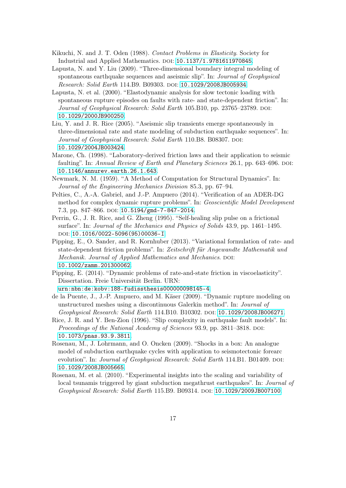- <span id="page-16-13"></span>Kikuchi, N. and J. T. Oden (1988). Contact Problems in Elasticity. Society for Industrial and Applied Mathematics. doi: [10.1137/1.9781611970845](https://doi.org/10.1137/1.9781611970845).
- <span id="page-16-3"></span>Lapusta, N. and Y. Liu (2009). "Three-dimensional boundary integral modeling of spontaneous earthquake sequences and aseismic slip". In: Journal of Geophysical Research: Solid Earth 114.B9. B09303. DOI: [10.1029/2008JB005934](https://doi.org/10.1029/2008JB005934).
- <span id="page-16-2"></span>Lapusta, N. et al. (2000). "Elastodynamic analysis for slow tectonic loading with spontaneous rupture episodes on faults with rate- and state-dependent friction". In: Journal of Geophysical Research: Solid Earth 105.B10, pp. 23765-23789. DOI: [10.1029/2000JB900250](https://doi.org/10.1029/2000JB900250).
- <span id="page-16-5"></span>Liu, Y. and J. R. Rice (2005). "Aseismic slip transients emerge spontaneously in three-dimensional rate and state modeling of subduction earthquake sequences". In: Journal of Geophysical Research: Solid Earth 110.B8. B08307. DOI: [10.1029/2004JB003424](https://doi.org/10.1029/2004JB003424).
- <span id="page-16-12"></span>Marone, Ch. (1998). "Laboratory-derived friction laws and their application to seismic faulting". In: Annual Review of Earth and Planetary Sciences 26.1, pp. 643–696. DOI: [10.1146/annurev.earth.26.1.643](https://doi.org/10.1146/annurev.earth.26.1.643).
- <span id="page-16-6"></span>Newmark, N. M. (1959). "A Method of Computation for Structural Dynamics". In: Journal of the Engineering Mechanics Division 85.3, pp. 67–94.
- <span id="page-16-4"></span>Pelties, C., A.-A. Gabriel, and J.-P. Ampuero (2014). "Verification of an ADER-DG method for complex dynamic rupture problems". In: Geoscientific Model Development 7.3, pp. 847-866. DOI: [10.5194/gmd-7-847-2014](https://doi.org/10.5194/gmd-7-847-2014).
- <span id="page-16-1"></span>Perrin, G., J. R. Rice, and G. Zheng (1995). "Self-healing slip pulse on a frictional surface". In: Journal of the Mechanics and Physics of Solids 43.9, pp. 1461–1495. doi: [10.1016/0022-5096\(95\)00036-I](https://doi.org/10.1016/0022-5096(95)00036-I).
- <span id="page-16-7"></span>Pipping, E., O. Sander, and R. Kornhuber (2013). "Variational formulation of rate- and state-dependent friction problems". In: Zeitschrift für Angewandte Mathematik und Mechanik. Journal of Applied Mathematics and Mechanics. DOI: [10.1002/zamm.201300062](https://doi.org/10.1002/zamm.201300062).
- <span id="page-16-8"></span>Pipping, E. (2014). "Dynamic problems of rate-and-state friction in viscoelasticity". Dissertation. Freie Universität Berlin. URN:

[urn:nbn:de:kobv:188-fudissthesis000000098145-4](http://www.nbn-resolving.org/urn:nbn:de:kobv:188-fudissthesis000000098145-4).

- <span id="page-16-0"></span>de la Puente, J., J.-P. Ampuero, and M. Käser (2009). "Dynamic rupture modeling on unstructured meshes using a discontinuous Galerkin method". In: Journal of Geophysical Research: Solid Earth 114.B10. B10302. DOI: [10.1029/2008JB006271](https://doi.org/10.1029/2008JB006271).
- <span id="page-16-11"></span>Rice, J. R. and Y. Ben-Zion (1996). "Slip complexity in earthquake fault models". In: Proceedings of the National Academy of Sciences 93.9, pp. 3811–3818. DOI: [10.1073/pnas.93.9.3811](https://doi.org/10.1073/pnas.93.9.3811).
- <span id="page-16-9"></span>Rosenau, M., J. Lohrmann, and O. Oncken (2009). "Shocks in a box: An analogue model of subduction earthquake cycles with application to seismotectonic forearc evolution". In: Journal of Geophysical Research: Solid Earth 114.B1. B01409. DOI: [10.1029/2008JB005665](https://doi.org/10.1029/2008JB005665).
- <span id="page-16-10"></span>Rosenau, M. et al. (2010). "Experimental insights into the scaling and variability of local tsunamis triggered by giant subduction megathrust earthquakes". In: Journal of Geophysical Research: Solid Earth 115.B9. B09314. doi: [10.1029/2009JB007100](https://doi.org/10.1029/2009JB007100).